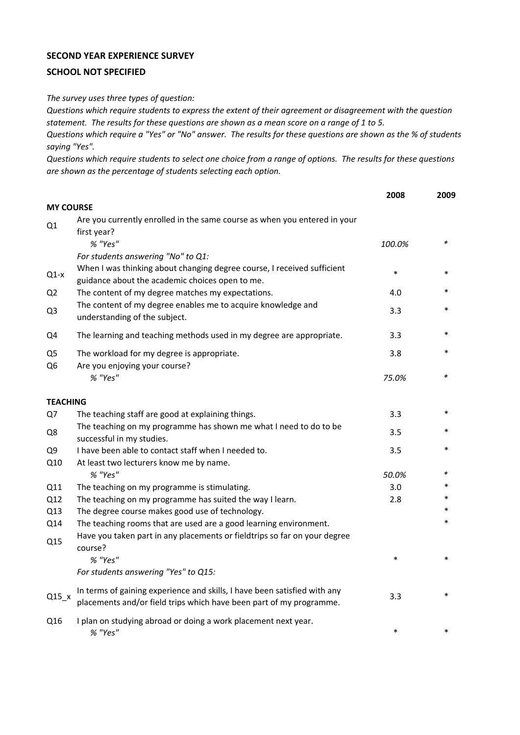## **SECOND YEAR EXPERIENCE SURVEY**

## **SCHOOL NOT SPECIFIED**

*The survey uses three types of question:*

*Questions which require students to express the extent of their agreement or disagreement with the question statement. The results for these questions are shown as a mean score on a range of 1 to 5.*

*Questions which require a "Yes" or "No" answer. The results for these questions are shown as the % of students saying "Yes".*

*Questions which require students to select one choice from a range of options. The results for these questions are shown as the percentage of students selecting each option.*

|                      |                                                                                                                                                           | 2008   | 2009        |
|----------------------|-----------------------------------------------------------------------------------------------------------------------------------------------------------|--------|-------------|
| <b>MY COURSE</b>     |                                                                                                                                                           |        |             |
| Q1                   | Are you currently enrolled in the same course as when you entered in your<br>first year?                                                                  |        |             |
|                      | % "Yes"<br>For students answering "No" to Q1:                                                                                                             | 100.0% | $\ast$      |
| $Q1-x$               | When I was thinking about changing degree course, I received sufficient<br>guidance about the academic choices open to me.                                | $\ast$ |             |
| Q <sub>2</sub>       | The content of my degree matches my expectations.                                                                                                         | 4.0    | *           |
| Q3                   | The content of my degree enables me to acquire knowledge and<br>understanding of the subject.                                                             | 3.3    | $\ast$      |
| Q4                   | The learning and teaching methods used in my degree are appropriate.                                                                                      | 3.3    | $\ast$      |
| Q5<br>Q <sub>6</sub> | The workload for my degree is appropriate.<br>Are you enjoying your course?                                                                               | 3.8    | *           |
|                      | % "Yes"                                                                                                                                                   | 75.0%  | *           |
| <b>TEACHING</b>      |                                                                                                                                                           |        |             |
| Q7                   | The teaching staff are good at explaining things.                                                                                                         | 3.3    | *           |
| Q8                   | The teaching on my programme has shown me what I need to do to be<br>successful in my studies.                                                            | 3.5    | $\ast$      |
| Q9                   | I have been able to contact staff when I needed to.                                                                                                       | 3.5    | $\ast$      |
| Q10                  | At least two lecturers know me by name.                                                                                                                   |        |             |
|                      | % "Yes"                                                                                                                                                   | 50.0%  | *           |
| Q11                  | The teaching on my programme is stimulating.                                                                                                              | 3.0    | *<br>$\ast$ |
| Q12                  | The teaching on my programme has suited the way I learn.                                                                                                  | 2.8    | $\ast$      |
| Q13                  | The degree course makes good use of technology.                                                                                                           |        | *           |
| Q14<br>Q15           | The teaching rooms that are used are a good learning environment.<br>Have you taken part in any placements or fieldtrips so far on your degree<br>course? |        |             |
|                      | % "Yes"                                                                                                                                                   | $\ast$ | $\ast$      |
|                      | For students answering "Yes" to Q15:                                                                                                                      |        |             |
| $Q15_x$              | In terms of gaining experience and skills, I have been satisfied with any<br>placements and/or field trips which have been part of my programme.          | 3.3    | $\ast$      |
| Q16                  | I plan on studying abroad or doing a work placement next year.<br>% "Yes"                                                                                 | $\ast$ | *           |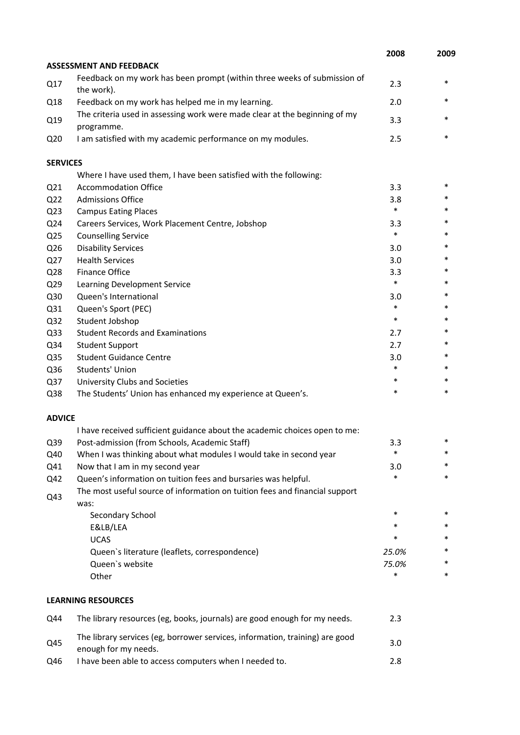|                 |                                                                                                      | 2008   | 2009   |
|-----------------|------------------------------------------------------------------------------------------------------|--------|--------|
|                 | <b>ASSESSMENT AND FEEDBACK</b>                                                                       |        |        |
| Q17             | Feedback on my work has been prompt (within three weeks of submission of<br>the work).               | 2.3    | $\ast$ |
| Q18             | Feedback on my work has helped me in my learning.                                                    | 2.0    | *      |
| Q19             | The criteria used in assessing work were made clear at the beginning of my<br>programme.             | 3.3    | *      |
| Q <sub>20</sub> | I am satisfied with my academic performance on my modules.                                           | 2.5    | *      |
| <b>SERVICES</b> |                                                                                                      |        |        |
|                 | Where I have used them, I have been satisfied with the following:                                    |        |        |
| Q <sub>21</sub> | <b>Accommodation Office</b>                                                                          | 3.3    | *      |
| Q <sub>22</sub> | <b>Admissions Office</b>                                                                             | 3.8    | *      |
| Q <sub>23</sub> | <b>Campus Eating Places</b>                                                                          | $\ast$ | *      |
| Q24             | Careers Services, Work Placement Centre, Jobshop                                                     | 3.3    | *      |
| Q <sub>25</sub> | <b>Counselling Service</b>                                                                           | $\ast$ | *      |
| Q26             | <b>Disability Services</b>                                                                           | 3.0    | *      |
| Q27             | <b>Health Services</b>                                                                               | 3.0    | *      |
| Q <sub>28</sub> | <b>Finance Office</b>                                                                                | 3.3    | *      |
| Q29             | Learning Development Service                                                                         | $\ast$ | *      |
| Q30             | Queen's International                                                                                | 3.0    | *      |
| Q31             | Queen's Sport (PEC)                                                                                  | $\ast$ | *      |
| Q <sub>32</sub> | Student Jobshop                                                                                      | $\ast$ | *      |
| Q <sub>33</sub> | <b>Student Records and Examinations</b>                                                              | 2.7    | $\ast$ |
| Q34             | <b>Student Support</b>                                                                               | 2.7    | *      |
| Q35             | <b>Student Guidance Centre</b>                                                                       | 3.0    | *      |
| Q36             | Students' Union                                                                                      | $\ast$ | *      |
| Q37             | University Clubs and Societies                                                                       | $\ast$ | *      |
| Q38             | The Students' Union has enhanced my experience at Queen's.                                           | $\ast$ | $\ast$ |
| <b>ADVICE</b>   |                                                                                                      |        |        |
|                 | I have received sufficient guidance about the academic choices open to me:                           |        |        |
| Q39             | Post-admission (from Schools, Academic Staff)                                                        | 3.3    | *      |
| Q40             | When I was thinking about what modules I would take in second year                                   | $\ast$ | *      |
| Q41             | Now that I am in my second year                                                                      | 3.0    | *      |
| Q42             | Queen's information on tuition fees and bursaries was helpful.                                       | $\ast$ | *      |
| Q43             | The most useful source of information on tuition fees and financial support<br>was:                  |        |        |
|                 | Secondary School                                                                                     | $\ast$ | *      |
|                 | E&LB/LEA                                                                                             | *      | *      |
|                 | <b>UCAS</b>                                                                                          | *      | *      |
|                 | Queen's literature (leaflets, correspondence)                                                        | 25.0%  | *      |
|                 | Queen's website                                                                                      | 75.0%  | *      |
|                 | Other                                                                                                | *      | *      |
|                 | <b>LEARNING RESOURCES</b>                                                                            |        |        |
| Q44             | The library resources (eg, books, journals) are good enough for my needs.                            | 2.3    |        |
| Q45             | The library services (eg, borrower services, information, training) are good<br>enough for my needs. | 3.0    |        |

Q46 I have been able to access computers when I needed to. 2.8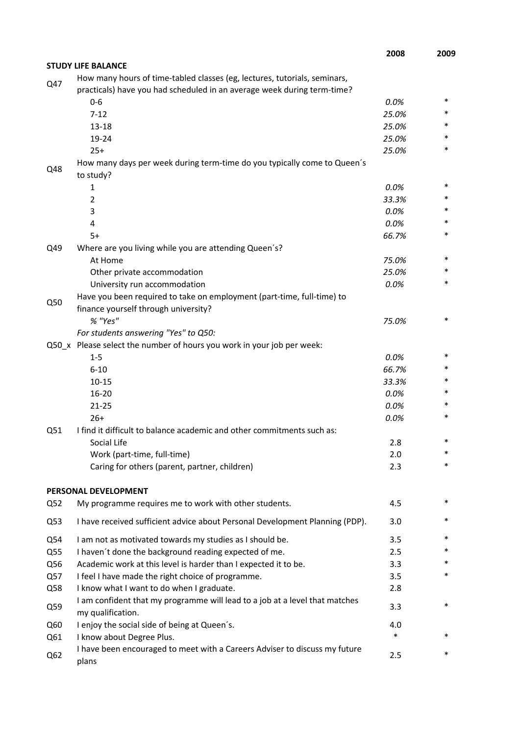|                 |                                                                              | 2008  | 2009   |
|-----------------|------------------------------------------------------------------------------|-------|--------|
|                 | <b>STUDY LIFE BALANCE</b>                                                    |       |        |
| Q47             | How many hours of time-tabled classes (eg, lectures, tutorials, seminars,    |       |        |
|                 | practicals) have you had scheduled in an average week during term-time?      |       |        |
|                 | $0 - 6$                                                                      | 0.0%  | *      |
|                 | $7 - 12$                                                                     | 25.0% | *      |
|                 | $13 - 18$                                                                    | 25.0% | *      |
|                 | 19-24                                                                        | 25.0% | *      |
|                 | $25+$                                                                        | 25.0% | *      |
| Q48             | How many days per week during term-time do you typically come to Queen's     |       |        |
|                 | to study?                                                                    |       |        |
|                 | $\mathbf{1}$                                                                 | 0.0%  | *      |
|                 | 2                                                                            | 33.3% | *      |
|                 | 3                                                                            | 0.0%  | *      |
|                 | 4                                                                            | 0.0%  | *      |
|                 | $5+$                                                                         | 66.7% | *      |
| Q49             | Where are you living while you are attending Queen's?                        |       |        |
|                 | At Home                                                                      | 75.0% | *      |
|                 | Other private accommodation                                                  | 25.0% | *      |
|                 | University run accommodation                                                 | 0.0%  | *      |
|                 | Have you been required to take on employment (part-time, full-time) to       |       |        |
| Q50             | finance yourself through university?                                         |       |        |
|                 | % "Yes"                                                                      | 75.0% | *      |
|                 | For students answering "Yes" to Q50:                                         |       |        |
|                 | Q50_x Please select the number of hours you work in your job per week:       |       |        |
|                 | $1 - 5$                                                                      | 0.0%  | *      |
|                 | $6 - 10$                                                                     | 66.7% | *      |
|                 | $10 - 15$                                                                    | 33.3% | *      |
|                 | $16 - 20$                                                                    | 0.0%  | *      |
|                 | $21 - 25$                                                                    | 0.0%  | *      |
|                 | $26+$                                                                        | 0.0%  | *      |
| Q51             | I find it difficult to balance academic and other commitments such as:       |       |        |
|                 | Social Life                                                                  | 2.8   |        |
|                 | Work (part-time, full-time)                                                  | 2.0   | *      |
|                 | Caring for others (parent, partner, children)                                | 2.3   | *      |
|                 |                                                                              |       |        |
|                 | PERSONAL DEVELOPMENT                                                         |       |        |
| Q <sub>52</sub> | My programme requires me to work with other students.                        | 4.5   | *      |
|                 |                                                                              |       |        |
| Q53             | I have received sufficient advice about Personal Development Planning (PDP). | 3.0   | *      |
| Q54             | I am not as motivated towards my studies as I should be.                     | 3.5   | *      |
| Q55             | I haven't done the background reading expected of me.                        | 2.5   | *      |
| Q56             | Academic work at this level is harder than I expected it to be.              | 3.3   | *      |
| Q57             | I feel I have made the right choice of programme.                            | 3.5   | *      |
| Q58             | I know what I want to do when I graduate.                                    | 2.8   |        |
|                 | I am confident that my programme will lead to a job at a level that matches  |       |        |
| Q59             | my qualification.                                                            | 3.3   | $\ast$ |
| Q60             | I enjoy the social side of being at Queen's.                                 | 4.0   |        |
| Q61             | I know about Degree Plus.                                                    | *     | *      |
|                 | I have been encouraged to meet with a Careers Adviser to discuss my future   |       |        |
| Q62             | plans                                                                        | 2.5   | *      |
|                 |                                                                              |       |        |